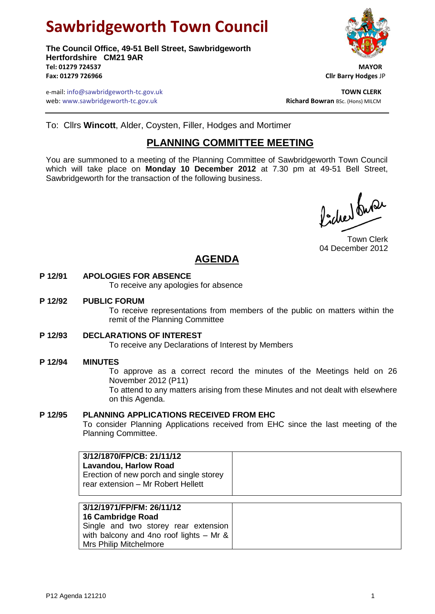# **Sawbridgeworth Town Council**

**The Council Office, 49-51 Bell Street, Sawbridgeworth Hertfordshire CM21 9AR Tel: 01279 724537 MAYOR Fax: 01279 726966 Cllr Barry Hodges** JP



e-mail: info@sawbridgeworth-tc.gov.uk **TOWN CLERK** web: www.sawbridgeworth-tc.gov.uk<br> **Richard Bowran** BSc. (Hons) MILCM

To: Cllrs **Wincott**, Alder, Coysten, Filler, Hodges and Mortimer

## **PLANNING COMMITTEE MEETING**

You are summoned to a meeting of the Planning Committee of Sawbridgeworth Town Council which will take place on **Monday 10 December 2012** at 7.30 pm at 49-51 Bell Street, Sawbridgeworth for the transaction of the following business.

faction buse

Town Clerk 04 December 2012

# **AGENDA**

#### **P 12/91 APOLOGIES FOR ABSENCE**

To receive any apologies for absence

#### **P 12/92 PUBLIC FORUM**

To receive representations from members of the public on matters within the remit of the Planning Committee

#### **P 12/93 DECLARATIONS OF INTEREST**

To receive any Declarations of Interest by Members

#### **P 12/94 MINUTES**

To approve as a correct record the minutes of the Meetings held on 26 November 2012 (P11)

To attend to any matters arising from these Minutes and not dealt with elsewhere on this Agenda.

#### **P 12/95 PLANNING APPLICATIONS RECEIVED FROM EHC**

To consider Planning Applications received from EHC since the last meeting of the Planning Committee.

| 3/12/1870/FP/CB: 21/11/12<br><b>Lavandou, Harlow Road</b><br>Erection of new porch and single storey<br>rear extension - Mr Robert Hellett |  |
|--------------------------------------------------------------------------------------------------------------------------------------------|--|
| 3/12/1971/FP/FM: 26/11/12<br>16 Cambridge Road                                                                                             |  |

**16 Cambridge Road** Single and two storey rear extension with balcony and 4no roof lights – Mr & Mrs Philip Mitchelmore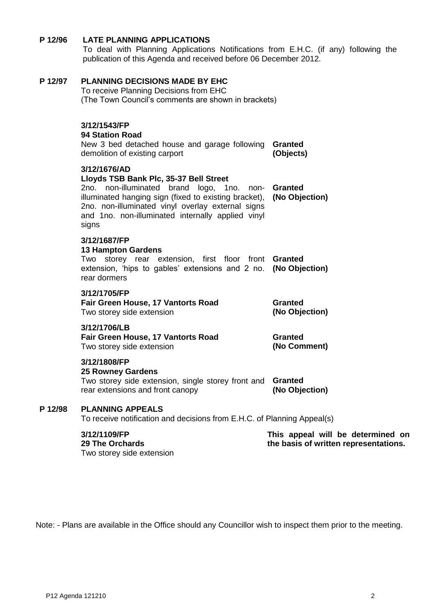#### **P 12/96 LATE PLANNING APPLICATIONS**

To deal with Planning Applications Notifications from E.H.C. (if any) following the publication of this Agenda and received before 06 December 2012.

#### **P 12/97 PLANNING DECISIONS MADE BY EHC**

To receive Planning Decisions from EHC (The Town Council's comments are shown in brackets)

# **3/12/1543/FP**

## **94 Station Road**

New 3 bed detached house and garage following **Granted** demolition of existing carport **(Objects)**

#### **3/12/1676/AD**

#### **Lloyds TSB Bank Plc, 35-37 Bell Street**

|       | 2no. non-illuminated brand logo, 1no. non- <b>Granted</b>                                              |  |  |  |
|-------|--------------------------------------------------------------------------------------------------------|--|--|--|
|       | illuminated hanging sign (fixed to existing bracket), (No Objection)                                   |  |  |  |
| signs | 2no. non-illuminated vinyl overlay external signs<br>and 1no. non-illuminated internally applied vinyl |  |  |  |

#### **3/12/1687/FP**

#### **13 Hampton Gardens** Two storey rear extension, first floor front **Granted** extension, 'hips to gables' extensions and 2 no. **(No Objection)** rear dormers

#### **3/12/1705/FP**

**Fair Green House, 17 Vantorts Road** Two storey side extension **Granted (No Objection)**

#### **3/12/1706/LB**

| <b>Fair Green House, 17 Vantorts Road</b> | Granted      |
|-------------------------------------------|--------------|
| Two storey side extension                 | (No Comment) |

#### **3/12/1808/FP**

#### **25 Rowney Gardens**

Two storey side extension, single storey front and **Granted** rear extensions and front canopy **(No Objection)**

#### **P 12/98 PLANNING APPEALS**

To receive notification and decisions from E.H.C. of Planning Appeal(s)

#### **3/12/1109/FP**

**This appeal will be determined on the basis of written representations.**

**29 The Orchards** Two storey side extension

Note: - Plans are available in the Office should any Councillor wish to inspect them prior to the meeting.